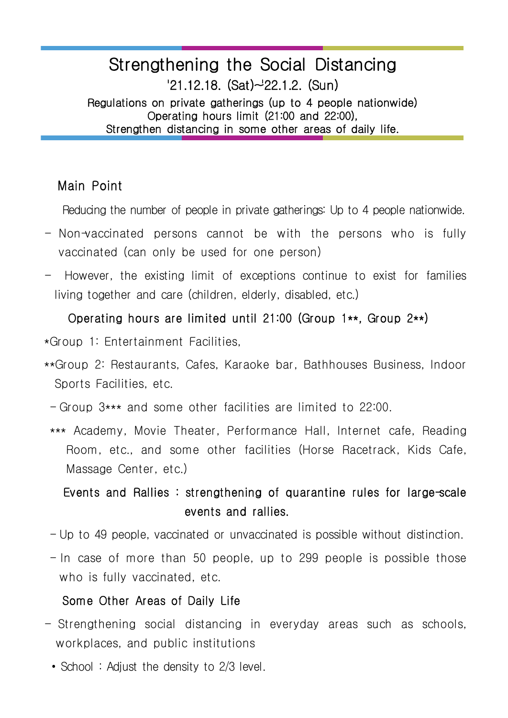# Strengthening the Social Distancing  $'21.12.18.$  (Sat) $\sim$ 22.1.2. (Sun)

Regulations on private gatherings (up to 4 people nationwide) Operating hours limit (21:00 and 22:00), Strengthen distancing in some other areas of daily life.

### Main Point

Reducing the number of people in private gatherings: Up to 4 people nationwide.

- $-$  Non-vaccinated persons cannot be with the persons who is fully vaccinated (can only be used for one person)
- However, the existing limit of exceptions continue to exist for families living together and care (children, elderly, disabled, etc.)

#### Operating hours are limited until 21:00 (Group 1\*\*, Group 2\*\*)

- \*Group 1: Entertainment Facilities,
- \*\*Group 2: Restaurants, Cafes, Karaoke bar, Bathhouses Business, Indoor Sports Facilities, etc.
- Group 3\*\*\* and some other facilities are limited to 22:00.
- \*\*\* Academy, Movie Theater, Performance Hall, Internet cafe, Reading Room, etc., and some other facilities (Horse Racetrack, Kids Cafe, Massage Center, etc.)

## Events and Rallies : strengthening of quarantine rules for large-scale events and rallies.

- Up to 49 people, vaccinated or unvaccinated is possible without distinction.
- $-$  In case of more than 50 people, up to 299 people is possible those who is fully vaccinated, etc.

#### Some Other Areas of Daily Life

- Strengthening social distancing in everyday areas such as schools, workplaces, and public institutions • School : Adjust the density to 2/3 level.
	-